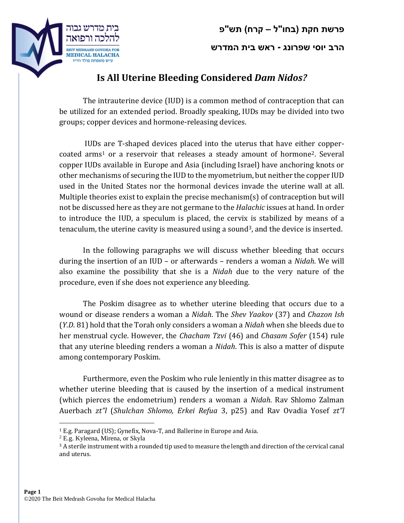## **פרשת חקת )בחו"ל – קרח( תש"פ**





## **Is All Uterine Bleeding Considered** *Dam Nidos?*

The intrauterine device (IUD) is a common method of contraception that can be utilized for an extended period. Broadly speaking, IUDs may be divided into two groups; copper devices and hormone-releasing devices.

IUDs are T-shaped devices placed into the uterus that have either coppercoated arms<sup>1</sup> or a reservoir that releases a steady amount of hormone<sup>2</sup>. Several copper IUDs available in Europe and Asia (including Israel) have anchoring knots or other mechanisms of securing the IUD to the myometrium, but neither the copper IUD used in the United States nor the hormonal devices invade the uterine wall at all. Multiple theories exist to explain the precise mechanism(s) of contraception but will not be discussed here as they are not germane to the *Halachic* issues at hand. In order to introduce the IUD, a speculum is placed, the cervix is stabilized by means of a tenaculum, the uterine cavity is measured using a sound<sup>3</sup>, and the device is inserted.

In the following paragraphs we will discuss whether bleeding that occurs during the insertion of an IUD – or afterwards – renders a woman a *Nidah*. We will also examine the possibility that she is a *Nidah* due to the very nature of the procedure, even if she does not experience any bleeding.

The Poskim disagree as to whether uterine bleeding that occurs due to a wound or disease renders a woman a *Nidah*. The *Shev Yaakov* (37) and *Chazon Ish* (*Y.D*. 81) hold that the Torah only considers a woman a *Nidah* when she bleeds due to her menstrual cycle. However, the *Chacham Tzvi* (46) and *Chasam Sofer* (154) rule that any uterine bleeding renders a woman a *Nidah*. This is also a matter of dispute among contemporary Poskim.

Furthermore, even the Poskim who rule leniently in this matter disagree as to whether uterine bleeding that is caused by the insertion of a medical instrument (which pierces the endometrium) renders a woman a *Nidah*. Rav Shlomo Zalman Auerbach *zt"l* (*Shulchan Shlomo, Erkei Refua* 3, p25) and Rav Ovadia Yosef *zt"l*

 $\overline{a}$ 

<sup>1</sup> E.g. Paragard (US); Gynefix, Nova-T, and Ballerine in Europe and Asia.

<sup>2</sup> E.g. Kyleena, Mirena, or Skyla

 $3A$  sterile instrument with a rounded tip used to measure the length and direction of the cervical canal and uterus.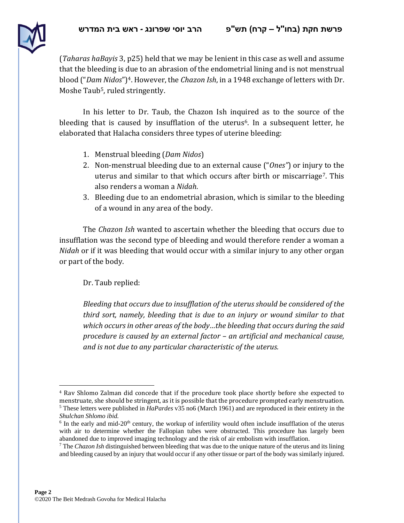

(*Taharas haBayis* 3, p25) held that we may be lenient in this case as well and assume that the bleeding is due to an abrasion of the endometrial lining and is not menstrual blood ("*Dam Nidos*")4. However, the *Chazon Ish*, in a 1948 exchange of letters with Dr. Moshe Taub<sup>5</sup>, ruled stringently.

In his letter to Dr. Taub, the Chazon Ish inquired as to the source of the bleeding that is caused by insufflation of the uterus<sup>6</sup>. In a subsequent letter, he elaborated that Halacha considers three types of uterine bleeding:

- 1. Menstrual bleeding (*Dam Nidos*)
- 2. Non-menstrual bleeding due to an external cause ("*Ones"*) or injury to the uterus and similar to that which occurs after birth or miscarriage7. This also renders a woman a *Nidah*.
- 3. Bleeding due to an endometrial abrasion, which is similar to the bleeding of a wound in any area of the body.

The *Chazon Ish* wanted to ascertain whether the bleeding that occurs due to insufflation was the second type of bleeding and would therefore render a woman a *Nidah* or if it was bleeding that would occur with a similar injury to any other organ or part of the body.

Dr. Taub replied:

*Bleeding that occurs due to insufflation of the uterus should be considered of the third sort, namely, bleeding that is due to an injury or wound similar to that which occurs in other areas of the body…the bleeding that occurs during the said procedure is caused by an external factor – an artificial and mechanical cause, and is not due to any particular characteristic of the uterus.*

 $\overline{a}$ <sup>4</sup> Rav Shlomo Zalman did concede that if the procedure took place shortly before she expected to menstruate, she should be stringent, as it is possible that the procedure prompted early menstruation. <sup>5</sup> These letters were published in *HaPardes* v35 no6 (March 1961) and are reproduced in their entirety in the *Shulchan Shlomo ibid.* 

 $6$  In the early and mid-20<sup>th</sup> century, the workup of infertility would often include insufflation of the uterus with air to determine whether the Fallopian tubes were obstructed. This procedure has largely been abandoned due to improved imaging technology and the risk of air embolism with insufflation.

<sup>7</sup> The *Chazon Ish* distinguished between bleeding that was due to the unique nature of the uterus and its lining and bleeding caused by an injury that would occur if any other tissue or part of the body was similarly injured.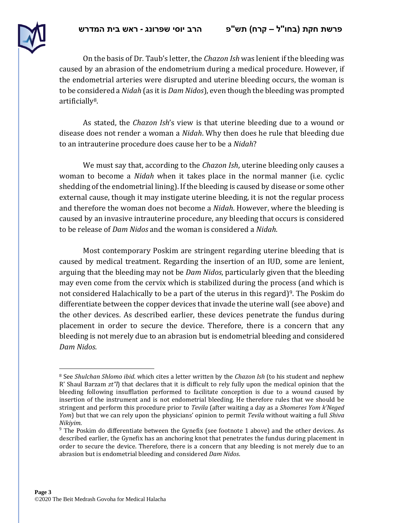

On the basis of Dr. Taub's letter, the *Chazon Ish* was lenient if the bleeding was caused by an abrasion of the endometrium during a medical procedure. However, if the endometrial arteries were disrupted and uterine bleeding occurs, the woman is to be considered a *Nidah* (as it is *Dam Nidos*), even though the bleeding was prompted artificially8.

As stated, the *Chazon Ish*'s view is that uterine bleeding due to a wound or disease does not render a woman a *Nidah*. Why then does he rule that bleeding due to an intrauterine procedure does cause her to be a *Nidah*?

We must say that, according to the *Chazon Ish*, uterine bleeding only causes a woman to become a *Nidah* when it takes place in the normal manner (i.e. cyclic shedding of the endometrial lining). If the bleeding is caused by disease or some other external cause, though it may instigate uterine bleeding, it is not the regular process and therefore the woman does not become a *Nidah*. However, where the bleeding is caused by an invasive intrauterine procedure, any bleeding that occurs is considered to be release of *Dam Nidos* and the woman is considered a *Nidah*.

Most contemporary Poskim are stringent regarding uterine bleeding that is caused by medical treatment. Regarding the insertion of an IUD, some are lenient, arguing that the bleeding may not be *Dam Nidos*, particularly given that the bleeding may even come from the cervix which is stabilized during the process (and which is not considered Halachically to be a part of the uterus in this regard)<sup>9</sup>. The Poskim do differentiate between the copper devices that invade the uterine wall (see above) and the other devices. As described earlier, these devices penetrate the fundus during placement in order to secure the device. Therefore, there is a concern that any bleeding is not merely due to an abrasion but is endometrial bleeding and considered *Dam Nidos*.

 $\overline{a}$ <sup>8</sup> See *Shulchan Shlomo ibid*. which cites a letter written by the *Chazon Ish* (to his student and nephew R' Shaul Barzam *zt"l*) that declares that it is difficult to rely fully upon the medical opinion that the bleeding following insufflation performed to facilitate conception is due to a wound caused by insertion of the instrument and is not endometrial bleeding. He therefore rules that we should be stringent and perform this procedure prior to *Tevila* (after waiting a day as a *Shomeres Yom k'Neged Yom*) but that we can rely upon the physicians' opinion to permit *Tevila* without waiting a full *Shiva Nikiyim*.

 $9$  The Poskim do differentiate between the Gynefix (see footnote 1 above) and the other devices. As described earlier, the Gynefix has an anchoring knot that penetrates the fundus during placement in order to secure the device. Therefore, there is a concern that any bleeding is not merely due to an abrasion but is endometrial bleeding and considered *Dam Nidos*.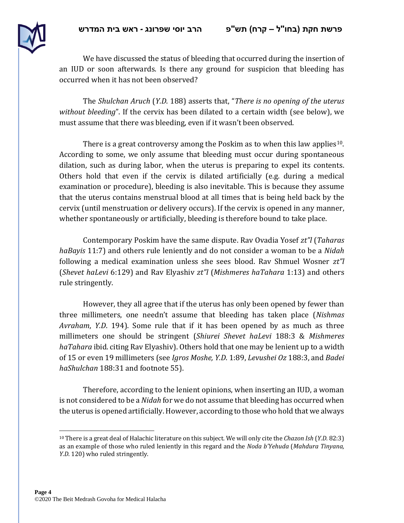

We have discussed the status of bleeding that occurred during the insertion of an IUD or soon afterwards. Is there any ground for suspicion that bleeding has occurred when it has not been observed?

The *Shulchan Aruch* (*Y.D*. 188) asserts that, "*There is no opening of the uterus without bleeding*". If the cervix has been dilated to a certain width (see below), we must assume that there was bleeding, even if it wasn't been observed.

There is a great controversy among the Poskim as to when this law applies<sup>10</sup>. According to some, we only assume that bleeding must occur during spontaneous dilation, such as during labor, when the uterus is preparing to expel its contents. Others hold that even if the cervix is dilated artificially (e.g. during a medical examination or procedure), bleeding is also inevitable. This is because they assume that the uterus contains menstrual blood at all times that is being held back by the cervix (until menstruation or delivery occurs). If the cervix is opened in any manner, whether spontaneously or artificially, bleeding is therefore bound to take place.

Contemporary Poskim have the same dispute. Rav Ovadia Yosef *zt"l* (*Taharas haBayis* 11:7) and others rule leniently and do not consider a woman to be a *Nidah* following a medical examination unless she sees blood. Rav Shmuel Wosner *zt"l* (*Shevet haLevi* 6:129) and Rav Elyashiv *zt"l* (*Mishmeres haTahara* 1:13) and others rule stringently.

However, they all agree that if the uterus has only been opened by fewer than three millimeters, one needn't assume that bleeding has taken place (*Nishmas Avraham*, *Y.D*. 194). Some rule that if it has been opened by as much as three millimeters one should be stringent (*Shiurei Shevet haLevi* 188:3 & *Mishmeres haTahara* ibid. citing Rav Elyashiv). Others hold that one may be lenient up to a width of 15 or even 19 millimeters (see *Igros Moshe, Y.D*. 1:89, *Levushei Oz* 188:3, and *Badei haShulchan* 188:31 and footnote 55).

Therefore, according to the lenient opinions, when inserting an IUD, a woman is not considered to be a *Nidah* for we do not assume that bleeding has occurred when the uterus is opened artificially. However, according to those who hold that we always

 $\overline{a}$ 

<sup>10</sup> There is a great deal of Halachic literature on this subject. We will only cite the *Chazon Ish* (*Y.D.* 82:3) as an example of those who ruled leniently in this regard and the *Noda b'Yehuda* (*Mahdura Tinyana, Y.D*. 120) who ruled stringently.